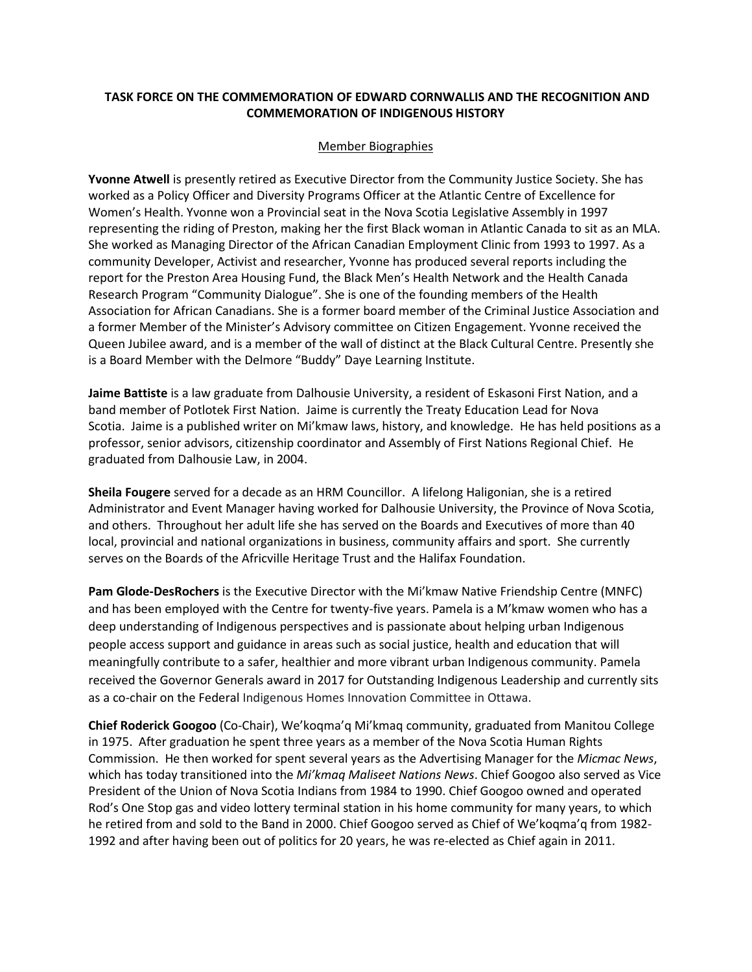## **TASK FORCE ON THE COMMEMORATION OF EDWARD CORNWALLIS AND THE RECOGNITION AND COMMEMORATION OF INDIGENOUS HISTORY**

## Member Biographies

**Yvonne Atwell** is presently retired as Executive Director from the Community Justice Society. She has worked as a Policy Officer and Diversity Programs Officer at the Atlantic Centre of Excellence for Women's Health. Yvonne won a Provincial seat in the Nova Scotia Legislative Assembly in 1997 representing the riding of Preston, making her the first Black woman in Atlantic Canada to sit as an MLA. She worked as Managing Director of the African Canadian Employment Clinic from 1993 to 1997. As a community Developer, Activist and researcher, Yvonne has produced several reports including the report for the Preston Area Housing Fund, the Black Men's Health Network and the Health Canada Research Program "Community Dialogue". She is one of the founding members of the Health Association for African Canadians. She is a former board member of the Criminal Justice Association and a former Member of the Minister's Advisory committee on Citizen Engagement. Yvonne received the Queen Jubilee award, and is a member of the wall of distinct at the Black Cultural Centre. Presently she is a Board Member with the Delmore "Buddy" Daye Learning Institute.

**Jaime Battiste** is a law graduate from Dalhousie University, a resident of Eskasoni First Nation, and a band member of Potlotek First Nation. Jaime is currently the Treaty Education Lead for Nova Scotia. Jaime is a published writer on Mi'kmaw laws, history, and knowledge. He has held positions as a professor, senior advisors, citizenship coordinator and Assembly of First Nations Regional Chief. He graduated from Dalhousie Law, in 2004.

**Sheila Fougere** served for a decade as an HRM Councillor. A lifelong Haligonian, she is a retired Administrator and Event Manager having worked for Dalhousie University, the Province of Nova Scotia, and others. Throughout her adult life she has served on the Boards and Executives of more than 40 local, provincial and national organizations in business, community affairs and sport. She currently serves on the Boards of the Africville Heritage Trust and the Halifax Foundation.

**Pam Glode-DesRochers** is the Executive Director with the Mi'kmaw Native Friendship Centre (MNFC) and has been employed with the Centre for twenty-five years. Pamela is a M'kmaw women who has a deep understanding of Indigenous perspectives and is passionate about helping urban Indigenous people access support and guidance in areas such as social justice, health and education that will meaningfully contribute to a safer, healthier and more vibrant urban Indigenous community. Pamela received the Governor Generals award in 2017 for Outstanding Indigenous Leadership and currently sits as a co-chair on the Federal Indigenous Homes Innovation Committee in Ottawa.

**Chief Roderick Googoo** (Co-Chair), We'koqma'q Mi'kmaq community, graduated from Manitou College in 1975. After graduation he spent three years as a member of the Nova Scotia Human Rights Commission. He then worked for spent several years as the Advertising Manager for the *Micmac News*, which has today transitioned into the *Mi'kmaq Maliseet Nations News*. Chief Googoo also served as Vice President of the Union of Nova Scotia Indians from 1984 to 1990. Chief Googoo owned and operated Rod's One Stop gas and video lottery terminal station in his home community for many years, to which he retired from and sold to the Band in 2000. Chief Googoo served as Chief of We'koqma'q from 1982- 1992 and after having been out of politics for 20 years, he was re-elected as Chief again in 2011.